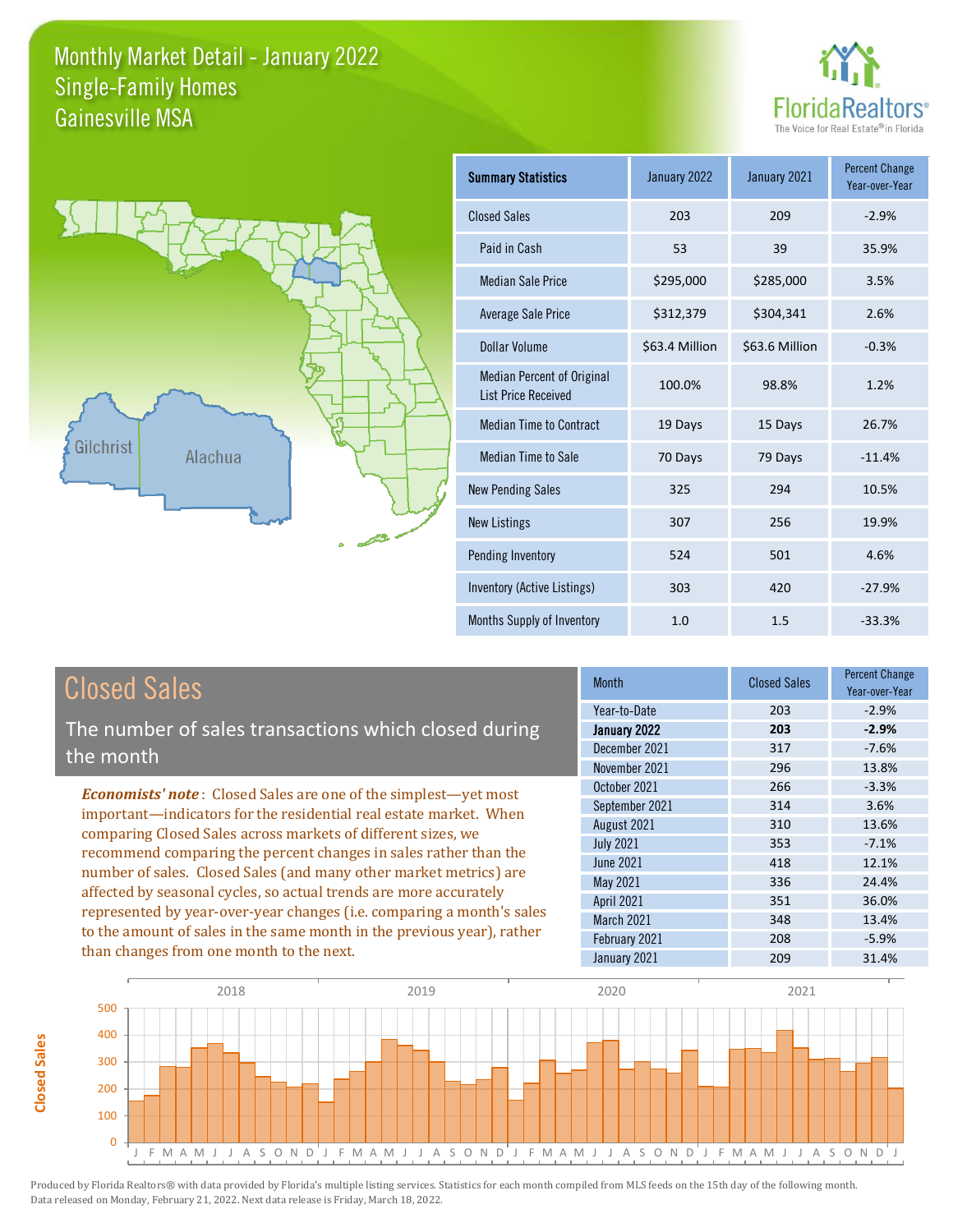



**Closed Sales**

**Closed Sales** 

| <b>Summary Statistics</b>                                       | January 2022   | January 2021   | <b>Percent Change</b><br>Year-over-Year |
|-----------------------------------------------------------------|----------------|----------------|-----------------------------------------|
| <b>Closed Sales</b>                                             | 203            | 209            | $-2.9%$                                 |
| Paid in Cash                                                    | 53             | 39             | 35.9%                                   |
| <b>Median Sale Price</b>                                        | \$295,000      | \$285,000      | 3.5%                                    |
| <b>Average Sale Price</b>                                       | \$312,379      | \$304,341      | 2.6%                                    |
| Dollar Volume                                                   | \$63.4 Million | \$63.6 Million | $-0.3%$                                 |
| <b>Median Percent of Original</b><br><b>List Price Received</b> | 100.0%         | 98.8%          | 1.2%                                    |
| <b>Median Time to Contract</b>                                  | 19 Days        | 15 Days        | 26.7%                                   |
| <b>Median Time to Sale</b>                                      | 70 Days        | 79 Days        | $-11.4%$                                |
| <b>New Pending Sales</b>                                        | 325            | 294            | 10.5%                                   |
| <b>New Listings</b>                                             | 307            | 256            | 19.9%                                   |
| Pending Inventory                                               | 524            | 501            | 4.6%                                    |
| Inventory (Active Listings)                                     | 303            | 420            | $-27.9%$                                |
| Months Supply of Inventory                                      | 1.0            | 1.5            | $-33.3%$                                |

| <b>Closed Sales</b>                                                                                                                                                                                                                                              | <b>Month</b>                                                     | <b>Closed Sales</b>      | <b>Percent Change</b><br>Year-over-Year |
|------------------------------------------------------------------------------------------------------------------------------------------------------------------------------------------------------------------------------------------------------------------|------------------------------------------------------------------|--------------------------|-----------------------------------------|
| The number of sales transactions which closed during<br>the month                                                                                                                                                                                                | Year-to-Date<br>January 2022<br>December 2021<br>November 2021   | 203<br>203<br>317<br>296 | $-2.9%$<br>$-2.9%$<br>$-7.6%$<br>13.8%  |
| <b>Economists' note:</b> Closed Sales are one of the simplest—yet most<br>important—indicators for the residential real estate market. When                                                                                                                      | October 2021<br>September 2021<br>August 2021                    | 266<br>314<br>310        | $-3.3%$<br>3.6%<br>13.6%                |
| comparing Closed Sales across markets of different sizes, we<br>recommend comparing the percent changes in sales rather than the<br>number of sales. Closed Sales (and many other market metrics) are                                                            | <b>July 2021</b><br>June 2021<br>May 2021                        | 353<br>418<br>336        | $-7.1%$<br>12.1%<br>24.4%               |
| affected by seasonal cycles, so actual trends are more accurately<br>represented by year-over-year changes (i.e. comparing a month's sales<br>to the amount of sales in the same month in the previous year), rather<br>than changes from one month to the next. | <b>April 2021</b><br>March 2021<br>February 2021<br>January 2021 | 351<br>348<br>208<br>209 | 36.0%<br>13.4%<br>$-5.9%$<br>31.4%      |

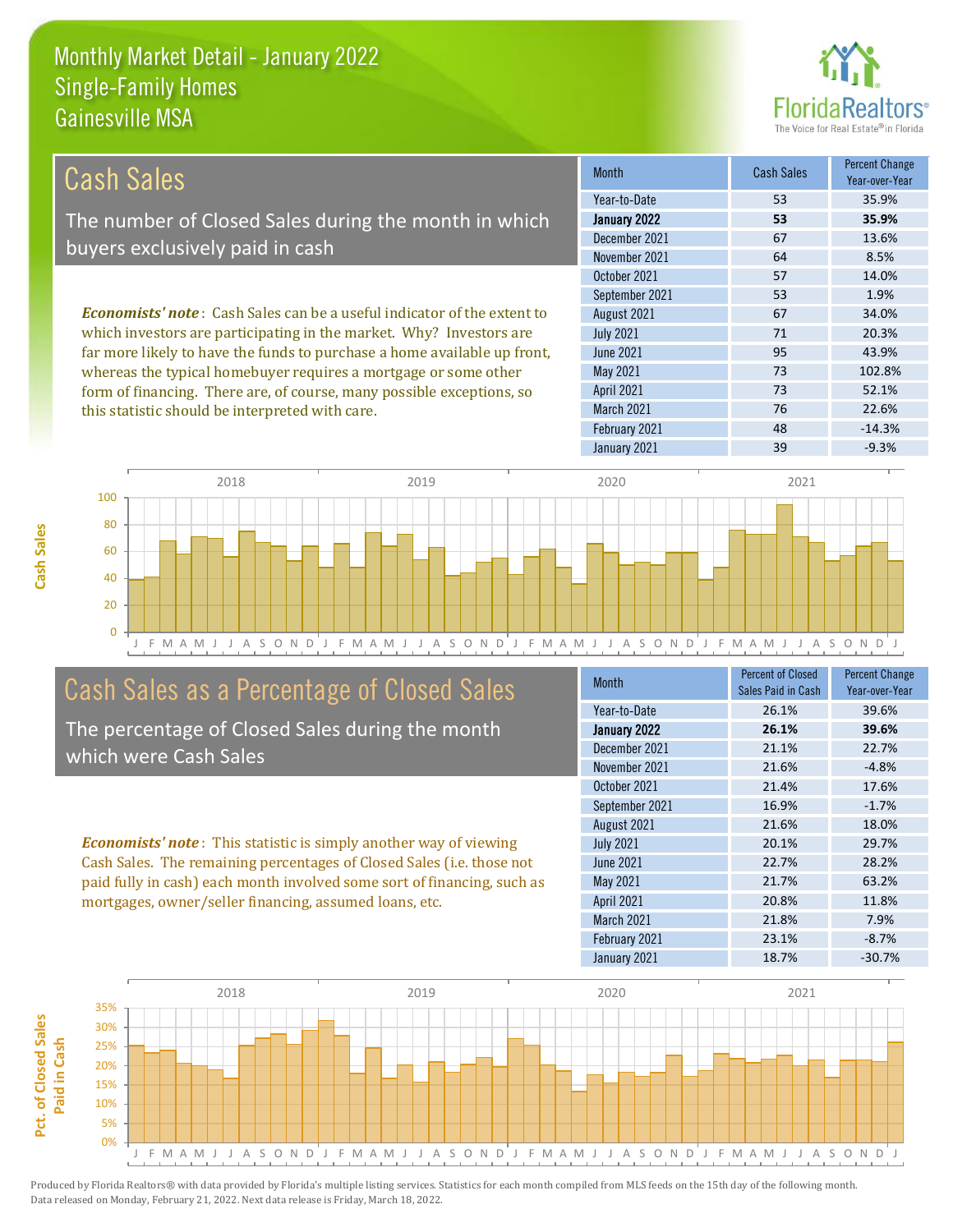

| Cash Sales                                                                      | <b>Month</b>      | <b>Cash Sales</b> | <b>Percent Change</b><br>Year-over-Year |
|---------------------------------------------------------------------------------|-------------------|-------------------|-----------------------------------------|
|                                                                                 | Year-to-Date      | 53                | 35.9%                                   |
| The number of Closed Sales during the month in which                            | January 2022      | 53                | 35.9%                                   |
| buyers exclusively paid in cash                                                 | December 2021     | 67                | 13.6%                                   |
|                                                                                 | November 2021     | 64                | 8.5%                                    |
|                                                                                 | October 2021      | 57                | 14.0%                                   |
|                                                                                 | September 2021    | 53                | 1.9%                                    |
| <b>Economists' note</b> : Cash Sales can be a useful indicator of the extent to | August 2021       | 67                | 34.0%                                   |
| which investors are participating in the market. Why? Investors are             | <b>July 2021</b>  | 71                | 20.3%                                   |
| far more likely to have the funds to purchase a home available up front,        | June 2021         | 95                | 43.9%                                   |
| whereas the typical homebuyer requires a mortgage or some other                 | May 2021          | 73                | 102.8%                                  |
| form of financing. There are, of course, many possible exceptions, so           | <b>April 2021</b> | 73                | 52.1%                                   |

this statistic should be interpreted with care.

| November 2021    | 64 | 8.5%     |
|------------------|----|----------|
| October 2021     | 57 | 14.0%    |
| September 2021   | 53 | 1.9%     |
| August 2021      | 67 | 34.0%    |
| <b>July 2021</b> | 71 | 20.3%    |
| <b>June 2021</b> | 95 | 43.9%    |
| May 2021         | 73 | 102.8%   |
| April 2021       | 73 | 52.1%    |
| March 2021       | 76 | 22.6%    |
| February 2021    | 48 | $-14.3%$ |
| January 2021     | 39 | $-9.3%$  |
|                  |    |          |



### Cash Sales as a Percentage of Closed Sales

The percentage of Closed Sales during the month which were Cash Sales

*Economists' note* : This statistic is simply another way of viewing Cash Sales. The remaining percentages of Closed Sales (i.e. those not paid fully in cash) each month involved some sort of financing, such as mortgages, owner/seller financing, assumed loans, etc.

| <b>Month</b>      | <b>Percent of Closed</b> | <b>Percent Change</b> |
|-------------------|--------------------------|-----------------------|
|                   | Sales Paid in Cash       | Year-over-Year        |
| Year-to-Date      | 26.1%                    | 39.6%                 |
| January 2022      | 26.1%                    | 39.6%                 |
| December 2021     | 21.1%                    | 22.7%                 |
| November 2021     | 21.6%                    | $-4.8%$               |
| October 2021      | 21.4%                    | 17.6%                 |
| September 2021    | 16.9%                    | $-1.7%$               |
| August 2021       | 21.6%                    | 18.0%                 |
| <b>July 2021</b>  | 20.1%                    | 29.7%                 |
| <b>June 2021</b>  | 22.7%                    | 28.2%                 |
| May 2021          | 21.7%                    | 63.2%                 |
| April 2021        | 20.8%                    | 11.8%                 |
| <b>March 2021</b> | 21.8%                    | 7.9%                  |
| February 2021     | 23.1%                    | $-8.7%$               |
| January 2021      | 18.7%                    | $-30.7%$              |

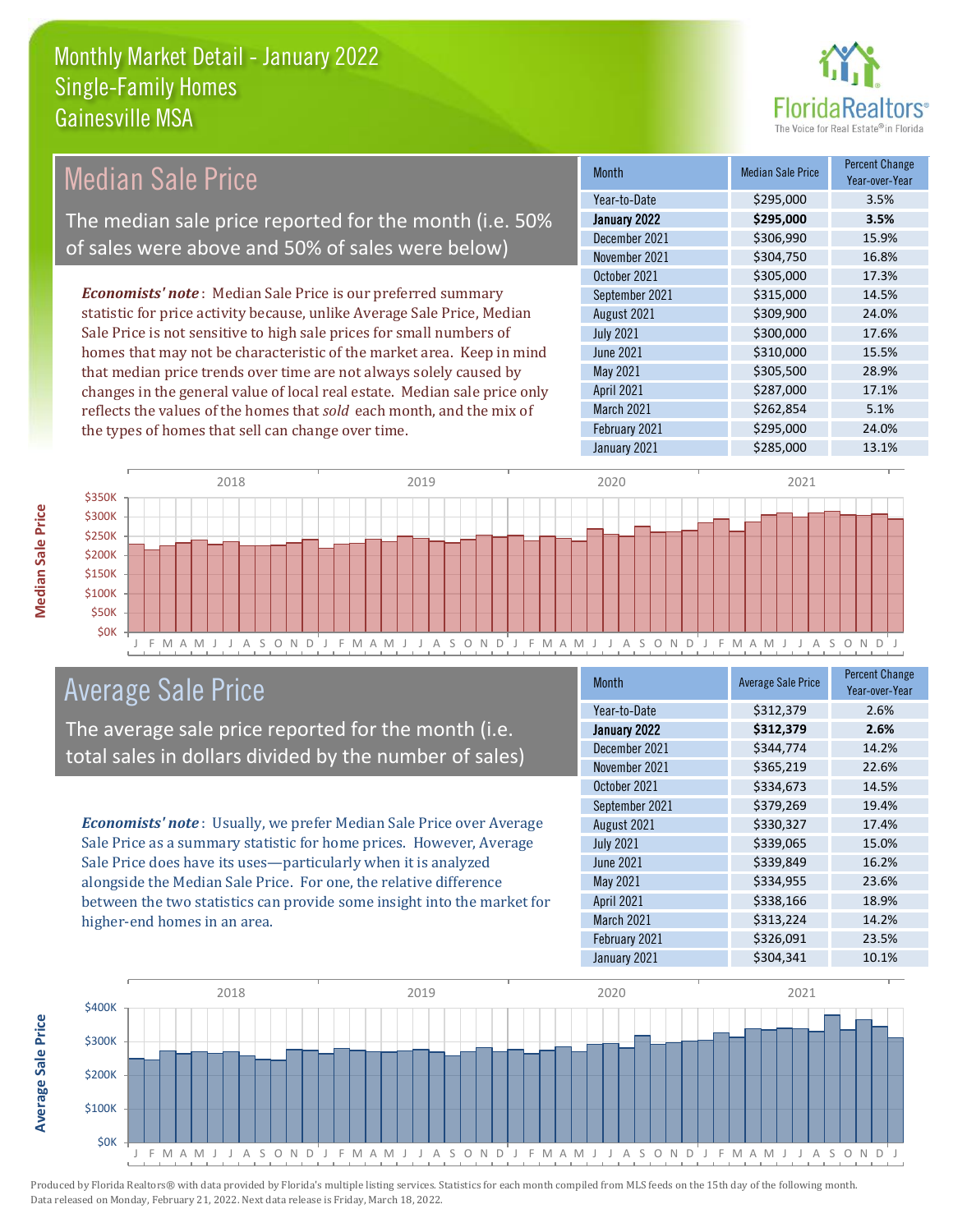

| <b>Median Sale Price</b>                                                  | <b>Month</b>      | <b>Median Sale Price</b> | <b>Percent Change</b><br>Year-over-Year |
|---------------------------------------------------------------------------|-------------------|--------------------------|-----------------------------------------|
|                                                                           | Year-to-Date      | \$295,000                | 3.5%                                    |
| The median sale price reported for the month (i.e. 50%                    | January 2022      | \$295,000                | 3.5%                                    |
|                                                                           | December 2021     | \$306,990                | 15.9%                                   |
| of sales were above and 50% of sales were below)                          | November 2021     | \$304,750                | 16.8%                                   |
|                                                                           | October 2021      | \$305,000                | 17.3%                                   |
| <b>Economists' note:</b> Median Sale Price is our preferred summary       | September 2021    | \$315,000                | 14.5%                                   |
| statistic for price activity because, unlike Average Sale Price, Median   | August 2021       | \$309,900                | 24.0%                                   |
| Sale Price is not sensitive to high sale prices for small numbers of      | <b>July 2021</b>  | \$300,000                | 17.6%                                   |
| homes that may not be characteristic of the market area. Keep in mind     | June 2021         | \$310,000                | 15.5%                                   |
| that median price trends over time are not always solely caused by        | May 2021          | \$305,500                | 28.9%                                   |
| changes in the general value of local real estate. Median sale price only | <b>April 2021</b> | \$287,000                | 17.1%                                   |
| reflects the values of the homes that sold each month, and the mix of     | <b>March 2021</b> | \$262,854                | 5.1%                                    |
| the types of homes that sell can change over time.                        | February 2021     | \$295,000                | 24.0%                                   |
|                                                                           | January 2021      | \$285,000                | 13.1%                                   |



# Average Sale Price

The average sale price reported for the month (i.e. total sales in dollars divided by the number of sales)

*Economists' note* : Usually, we prefer Median Sale Price over Average Sale Price as a summary statistic for home prices. However, Average Sale Price does have its uses—particularly when it is analyzed alongside the Median Sale Price. For one, the relative difference between the two statistics can provide some insight into the market for higher-end homes in an area.

| <b>Month</b>     | <b>Average Sale Price</b> | <b>Percent Change</b><br>Year-over-Year |
|------------------|---------------------------|-----------------------------------------|
| Year-to-Date     | \$312,379                 | 2.6%                                    |
| January 2022     | \$312,379                 | 2.6%                                    |
| December 2021    | \$344,774                 | 14.2%                                   |
| November 2021    | \$365,219                 | 22.6%                                   |
| October 2021     | \$334,673                 | 14.5%                                   |
| September 2021   | \$379,269                 | 19.4%                                   |
| August 2021      | \$330,327                 | 17.4%                                   |
| <b>July 2021</b> | \$339,065                 | 15.0%                                   |
| <b>June 2021</b> | \$339,849                 | 16.2%                                   |
| May 2021         | \$334,955                 | 23.6%                                   |
| April 2021       | \$338,166                 | 18.9%                                   |
| March 2021       | \$313,224                 | 14.2%                                   |
| February 2021    | \$326,091                 | 23.5%                                   |
| January 2021     | \$304,341                 | 10.1%                                   |



Produced by Florida Realtors® with data provided by Florida's multiple listing services. Statistics for each month compiled from MLS feeds on the 15th day of the following month. Data released on Monday, February 21, 2022. Next data release is Friday, March 18, 2022.

**Average Sale Price**

**Average Sale Price**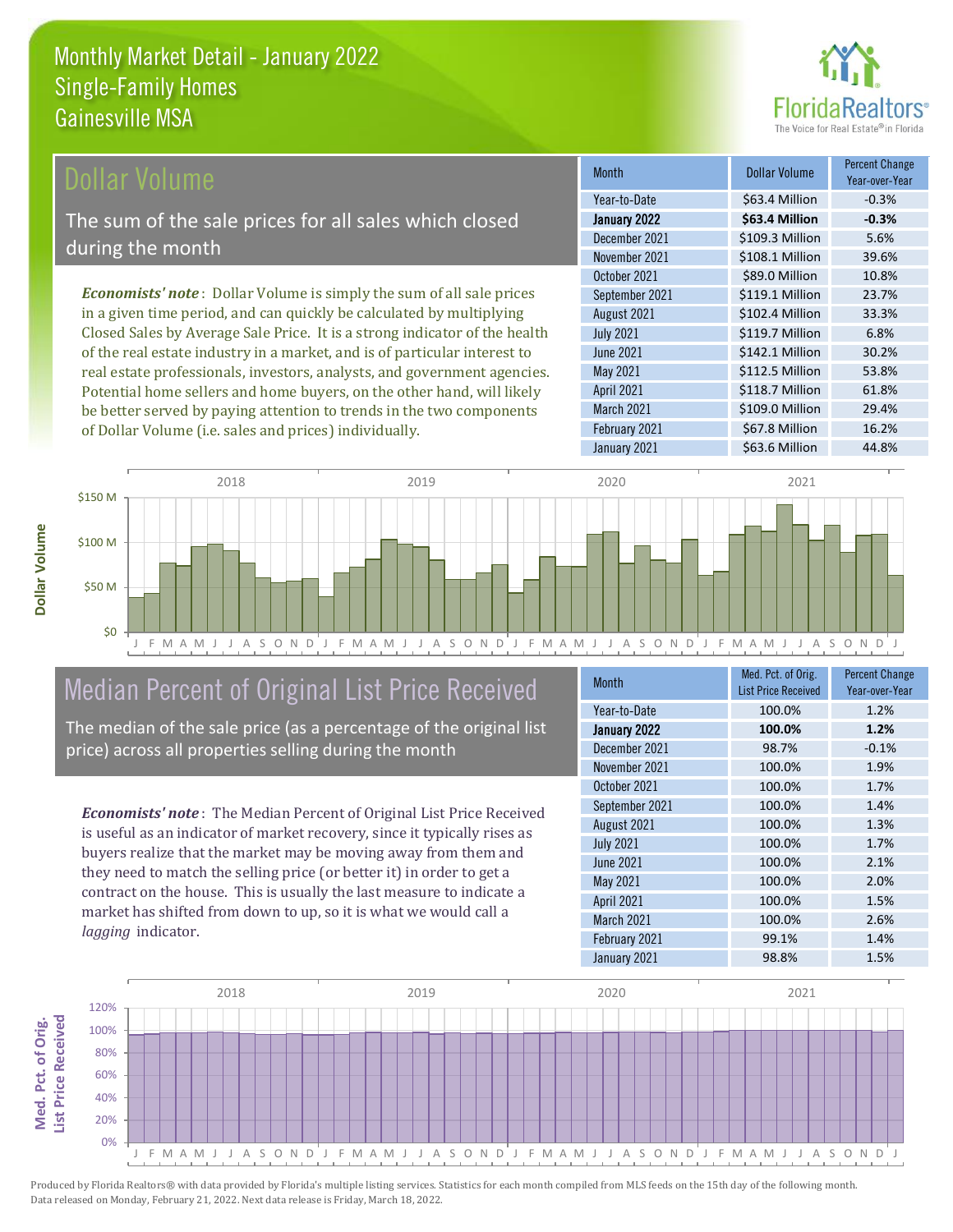

#### Dollar Volume

The sum of the sale prices for all sales which closed during the month

*Economists' note* : Dollar Volume is simply the sum of all sale prices in a given time period, and can quickly be calculated by multiplying Closed Sales by Average Sale Price. It is a strong indicator of the health of the real estate industry in a market, and is of particular interest to real estate professionals, investors, analysts, and government agencies. Potential home sellers and home buyers, on the other hand, will likely be better served by paying attention to trends in the two components of Dollar Volume (i.e. sales and prices) individually.

| <b>Month</b>      | Dollar Volume   | <b>Percent Change</b><br>Year-over-Year |
|-------------------|-----------------|-----------------------------------------|
| Year-to-Date      | \$63.4 Million  | $-0.3%$                                 |
| January 2022      | \$63.4 Million  | $-0.3%$                                 |
| December 2021     | \$109.3 Million | 5.6%                                    |
| November 2021     | \$108.1 Million | 39.6%                                   |
| October 2021      | \$89.0 Million  | 10.8%                                   |
| September 2021    | \$119.1 Million | 23.7%                                   |
| August 2021       | \$102.4 Million | 33.3%                                   |
| <b>July 2021</b>  | \$119.7 Million | 6.8%                                    |
| <b>June 2021</b>  | \$142.1 Million | 30.2%                                   |
| May 2021          | \$112.5 Million | 53.8%                                   |
| <b>April 2021</b> | \$118.7 Million | 61.8%                                   |
| March 2021        | \$109.0 Million | 29.4%                                   |
| February 2021     | \$67.8 Million  | 16.2%                                   |
| January 2021      | \$63.6 Million  | 44.8%                                   |



### Median Percent of Original List Price Received

The median of the sale price (as a percentage of the original list price) across all properties selling during the month

*Economists' note* : The Median Percent of Original List Price Received is useful as an indicator of market recovery, since it typically rises as buyers realize that the market may be moving away from them and they need to match the selling price (or better it) in order to get a contract on the house. This is usually the last measure to indicate a market has shifted from down to up, so it is what we would call a *lagging* indicator.

| <b>Month</b>     | Med. Pct. of Orig.         | <b>Percent Change</b> |
|------------------|----------------------------|-----------------------|
|                  | <b>List Price Received</b> | Year-over-Year        |
| Year-to-Date     | 100.0%                     | 1.2%                  |
| January 2022     | 100.0%                     | 1.2%                  |
| December 2021    | 98.7%                      | $-0.1%$               |
| November 2021    | 100.0%                     | 1.9%                  |
| October 2021     | 100.0%                     | 1.7%                  |
| September 2021   | 100.0%                     | 1.4%                  |
| August 2021      | 100.0%                     | 1.3%                  |
| <b>July 2021</b> | 100.0%                     | 1.7%                  |
| <b>June 2021</b> | 100.0%                     | 2.1%                  |
| May 2021         | 100.0%                     | 2.0%                  |
| April 2021       | 100.0%                     | 1.5%                  |
| March 2021       | 100.0%                     | 2.6%                  |
| February 2021    | 99.1%                      | 1.4%                  |
| January 2021     | 98.8%                      | 1.5%                  |

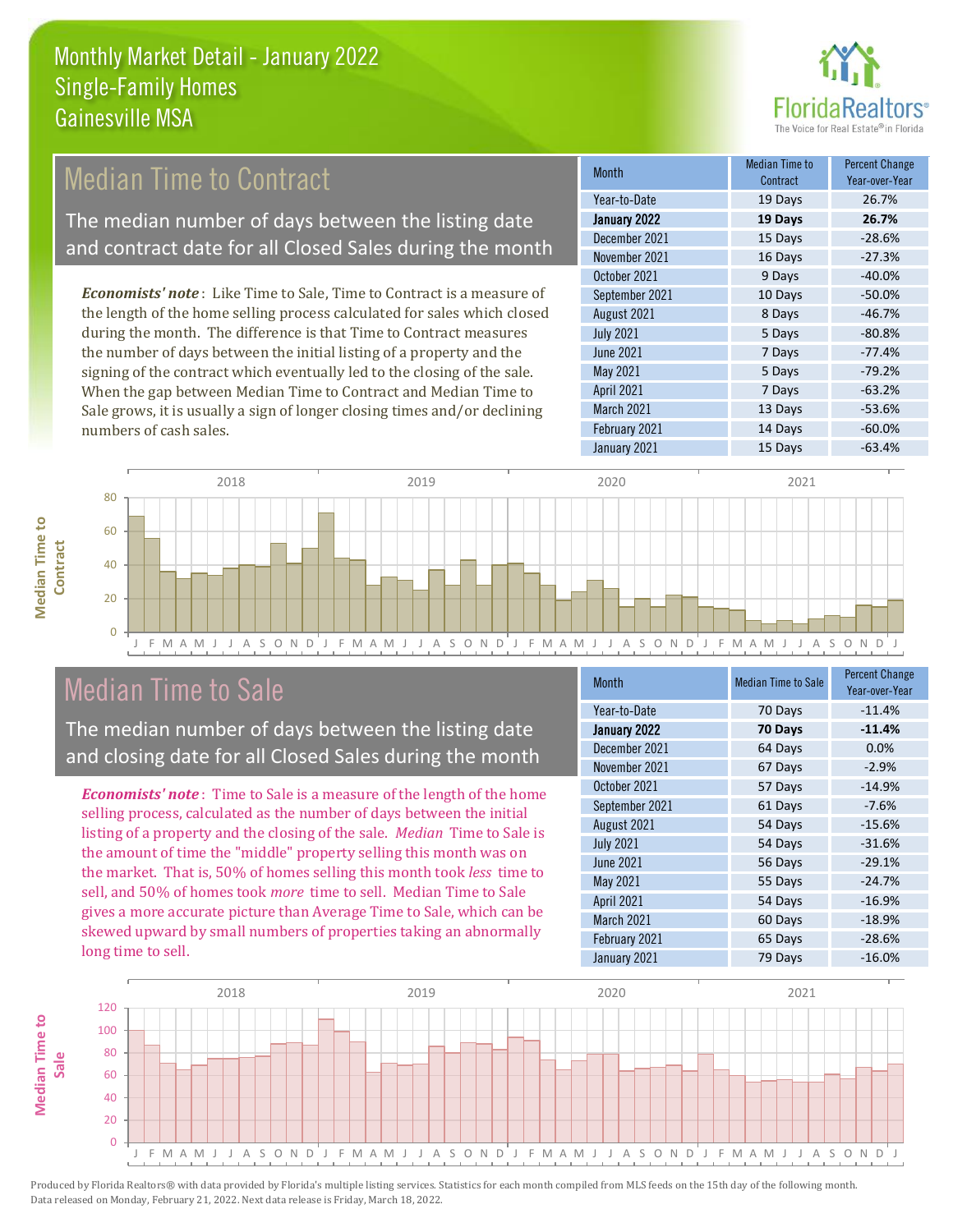

# Median Time to Contract

The median number of days between the listing date and contract date for all Closed Sales during the month

*Economists' note* : Like Time to Sale, Time to Contract is a measure of the length of the home selling process calculated for sales which closed during the month. The difference is that Time to Contract measures the number of days between the initial listing of a property and the signing of the contract which eventually led to the closing of the sale. When the gap between Median Time to Contract and Median Time to Sale grows, it is usually a sign of longer closing times and/or declining numbers of cash sales.

| <b>Month</b>     | Median Time to<br>Contract | <b>Percent Change</b><br>Year-over-Year |
|------------------|----------------------------|-----------------------------------------|
| Year-to-Date     | 19 Days                    | 26.7%                                   |
| January 2022     | 19 Days                    | 26.7%                                   |
| December 2021    | 15 Days                    | $-28.6%$                                |
| November 2021    | 16 Days                    | $-27.3%$                                |
| October 2021     | 9 Days                     | $-40.0%$                                |
| September 2021   | 10 Days                    | $-50.0%$                                |
| August 2021      | 8 Days                     | $-46.7%$                                |
| <b>July 2021</b> | 5 Days                     | $-80.8%$                                |
| <b>June 2021</b> | 7 Days                     | $-77.4%$                                |
| May 2021         | 5 Days                     | $-79.2%$                                |
| April 2021       | 7 Days                     | $-63.2%$                                |
| March 2021       | 13 Days                    | $-53.6%$                                |
| February 2021    | 14 Days                    | $-60.0%$                                |
| January 2021     | 15 Days                    | $-63.4%$                                |



### Median Time to Sale

**Median Time to** 

**Median Time to** 

The median number of days between the listing date and closing date for all Closed Sales during the month

*Economists' note* : Time to Sale is a measure of the length of the home selling process, calculated as the number of days between the initial listing of a property and the closing of the sale. *Median* Time to Sale is the amount of time the "middle" property selling this month was on the market. That is, 50% of homes selling this month took *less* time to sell, and 50% of homes took *more* time to sell. Median Time to Sale gives a more accurate picture than Average Time to Sale, which can be skewed upward by small numbers of properties taking an abnormally long time to sell.

| <b>Month</b>     | <b>Median Time to Sale</b> | <b>Percent Change</b><br>Year-over-Year |
|------------------|----------------------------|-----------------------------------------|
| Year-to-Date     | 70 Days                    | $-11.4%$                                |
| January 2022     | 70 Days                    | $-11.4%$                                |
| December 2021    | 64 Days                    | 0.0%                                    |
| November 2021    | 67 Days                    | $-2.9%$                                 |
| October 2021     | 57 Days                    | $-14.9%$                                |
| September 2021   | 61 Days                    | $-7.6%$                                 |
| August 2021      | 54 Days                    | $-15.6%$                                |
| <b>July 2021</b> | 54 Days                    | $-31.6%$                                |
| June 2021        | 56 Days                    | $-29.1%$                                |
| May 2021         | 55 Days                    | $-24.7%$                                |
| April 2021       | 54 Days                    | $-16.9%$                                |
| March 2021       | 60 Days                    | $-18.9%$                                |
| February 2021    | 65 Days                    | $-28.6%$                                |
| January 2021     | 79 Days                    | $-16.0%$                                |

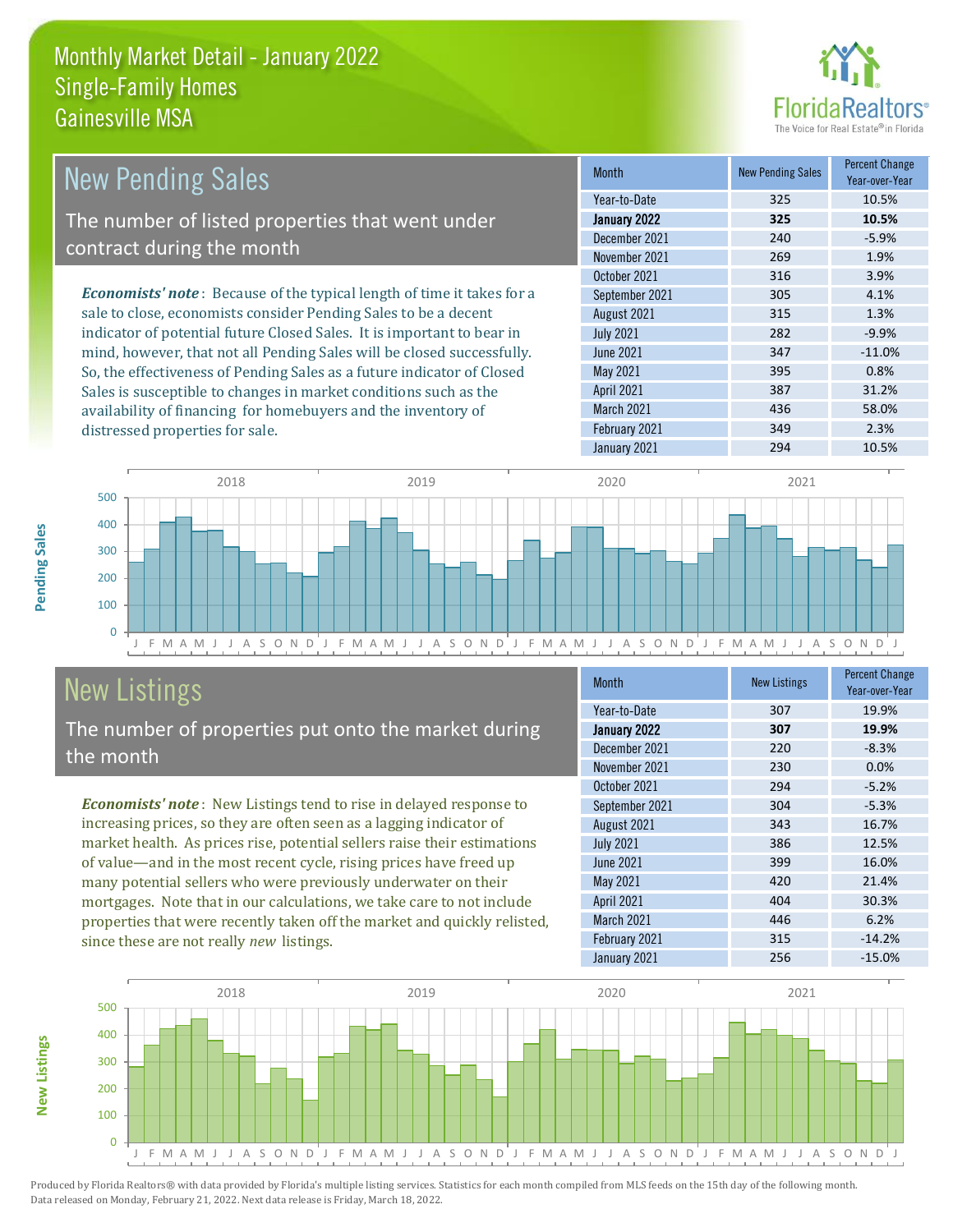

| <b>New Pending Sales</b>                                                      | <b>Month</b>      | <b>New Pending Sales</b> | <b>Percent Change</b><br>Year-over-Year |
|-------------------------------------------------------------------------------|-------------------|--------------------------|-----------------------------------------|
|                                                                               | Year-to-Date      | 325                      | 10.5%                                   |
| The number of listed properties that went under                               | January 2022      | 325                      | 10.5%                                   |
| contract during the month                                                     | December 2021     | 240                      | $-5.9%$                                 |
|                                                                               | November 2021     | 269                      | 1.9%                                    |
|                                                                               | October 2021      | 316                      | 3.9%                                    |
| <b>Economists' note:</b> Because of the typical length of time it takes for a | September 2021    | 305                      | 4.1%                                    |
| sale to close, economists consider Pending Sales to be a decent               | August 2021       | 315                      | 1.3%                                    |
| indicator of potential future Closed Sales. It is important to bear in        | <b>July 2021</b>  | 282                      | $-9.9%$                                 |
| mind, however, that not all Pending Sales will be closed successfully.        | June 2021         | 347                      | $-11.0%$                                |
| So, the effectiveness of Pending Sales as a future indicator of Closed        | May 2021          | 395                      | 0.8%                                    |
| Sales is susceptible to changes in market conditions such as the              | <b>April 2021</b> | 387                      | 31.2%                                   |



# New Listings

distressed properties for sale.

The number of properties put onto the market during the month

availability of financing for homebuyers and the inventory of

*Economists' note* : New Listings tend to rise in delayed response to increasing prices, so they are often seen as a lagging indicator of market health. As prices rise, potential sellers raise their estimations of value—and in the most recent cycle, rising prices have freed up many potential sellers who were previously underwater on their mortgages. Note that in our calculations, we take care to not include properties that were recently taken off the market and quickly relisted, since these are not really *new* listings.

| <b>Month</b>      | <b>New Listings</b> | <b>Percent Change</b><br>Year-over-Year |
|-------------------|---------------------|-----------------------------------------|
| Year-to-Date      | 307                 | 19.9%                                   |
| January 2022      | 307                 | 19.9%                                   |
| December 2021     | 220                 | $-8.3%$                                 |
| November 2021     | 230                 | 0.0%                                    |
| October 2021      | 294                 | $-5.2%$                                 |
| September 2021    | 304                 | $-5.3%$                                 |
| August 2021       | 343                 | 16.7%                                   |
| <b>July 2021</b>  | 386                 | 12.5%                                   |
| <b>June 2021</b>  | 399                 | 16.0%                                   |
| May 2021          | 420                 | 21.4%                                   |
| April 2021        | 404                 | 30.3%                                   |
| <b>March 2021</b> | 446                 | 6.2%                                    |
| February 2021     | 315                 | $-14.2%$                                |
| January 2021      | 256                 | $-15.0%$                                |

March 2021 436 58.0% February 2021 349 349 2.3%



Produced by Florida Realtors® with data provided by Florida's multiple listing services. Statistics for each month compiled from MLS feeds on the 15th day of the following month. Data released on Monday, February 21, 2022. Next data release is Friday, March 18, 2022.

**New Listings**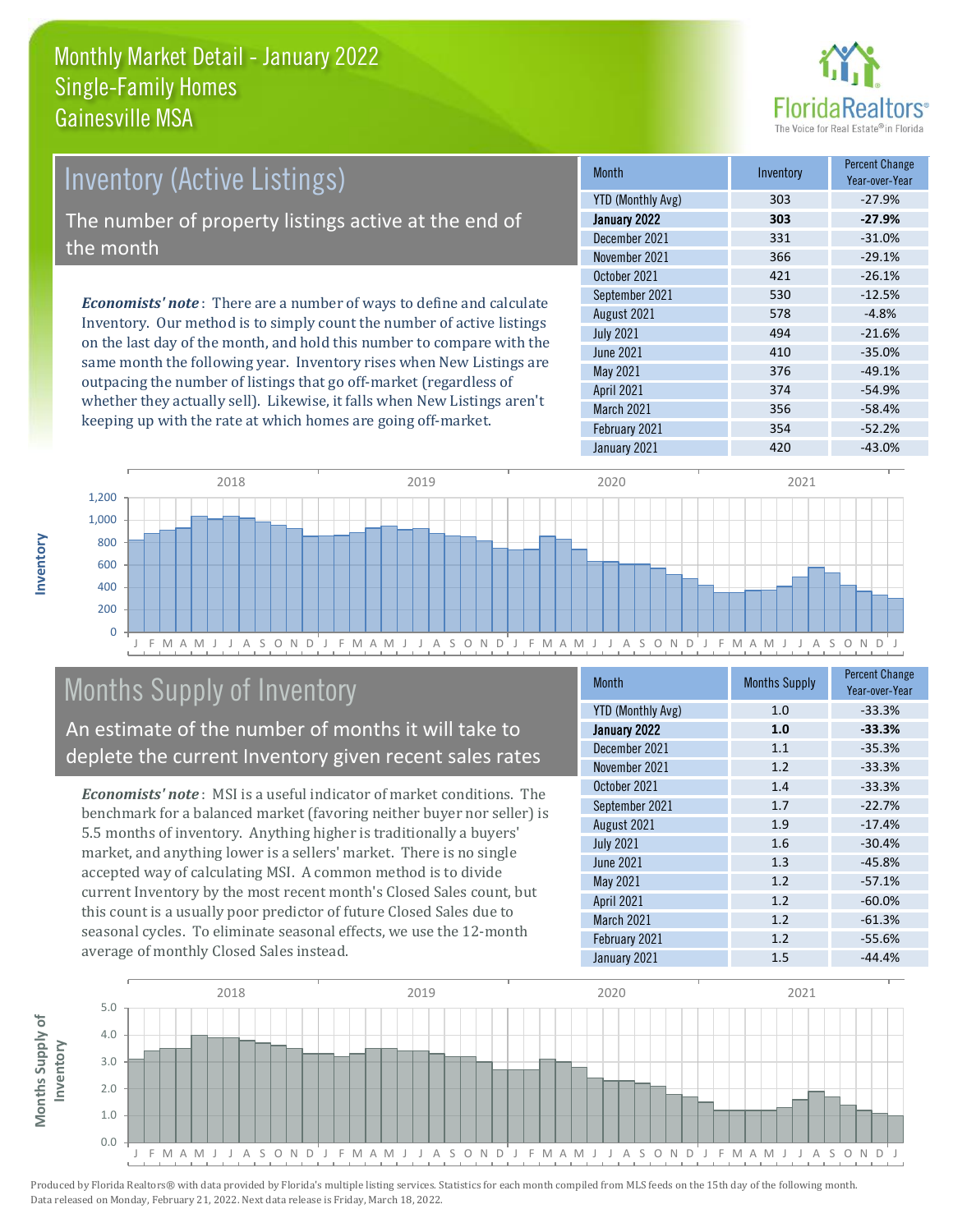

# Inventory (Active Listings) The number of property listings active at the end of the month

*Economists' note* : There are a number of ways to define and calculate Inventory. Our method is to simply count the number of active listings on the last day of the month, and hold this number to compare with the same month the following year. Inventory rises when New Listings are outpacing the number of listings that go off-market (regardless of whether they actually sell). Likewise, it falls when New Listings aren't keeping up with the rate at which homes are going off-market.

| <b>Month</b>             | Inventory | <b>Percent Change</b><br>Year-over-Year |
|--------------------------|-----------|-----------------------------------------|
| <b>YTD (Monthly Avg)</b> | 303       | $-27.9%$                                |
| January 2022             | 303       | $-27.9%$                                |
| December 2021            | 331       | $-31.0%$                                |
| November 2021            | 366       | $-29.1%$                                |
| October 2021             | 421       | $-26.1%$                                |
| September 2021           | 530       | $-12.5%$                                |
| August 2021              | 578       | $-4.8%$                                 |
| <b>July 2021</b>         | 494       | $-21.6%$                                |
| <b>June 2021</b>         | 410       | $-35.0%$                                |
| May 2021                 | 376       | $-49.1%$                                |
| April 2021               | 374       | $-54.9%$                                |
| March 2021               | 356       | $-58.4%$                                |
| February 2021            | 354       | $-52.2%$                                |
| January 2021             | 420       | $-43.0%$                                |



# Months Supply of Inventory

An estimate of the number of months it will take to deplete the current Inventory given recent sales rates

*Economists' note* : MSI is a useful indicator of market conditions. The benchmark for a balanced market (favoring neither buyer nor seller) is 5.5 months of inventory. Anything higher is traditionally a buyers' market, and anything lower is a sellers' market. There is no single accepted way of calculating MSI. A common method is to divide current Inventory by the most recent month's Closed Sales count, but this count is a usually poor predictor of future Closed Sales due to seasonal cycles. To eliminate seasonal effects, we use the 12-month average of monthly Closed Sales instead.

| <b>Month</b>             | <b>Months Supply</b> | <b>Percent Change</b><br>Year-over-Year |
|--------------------------|----------------------|-----------------------------------------|
| <b>YTD (Monthly Avg)</b> | 1.0                  | $-33.3%$                                |
| January 2022             | 1.0                  | $-33.3%$                                |
| December 2021            | 1.1                  | $-35.3%$                                |
| November 2021            | 1.2                  | $-33.3%$                                |
| October 2021             | 1.4                  | $-33.3%$                                |
| September 2021           | 1.7                  | $-22.7%$                                |
| August 2021              | 1.9                  | $-17.4%$                                |
| <b>July 2021</b>         | 1.6                  | $-30.4%$                                |
| June 2021                | 1.3                  | $-45.8%$                                |
| May 2021                 | 1.2                  | $-57.1%$                                |
| April 2021               | 1.2                  | $-60.0%$                                |
| March 2021               | 1.2                  | $-61.3%$                                |
| February 2021            | 1.2                  | $-55.6%$                                |
| January 2021             | 1.5                  | $-44.4%$                                |

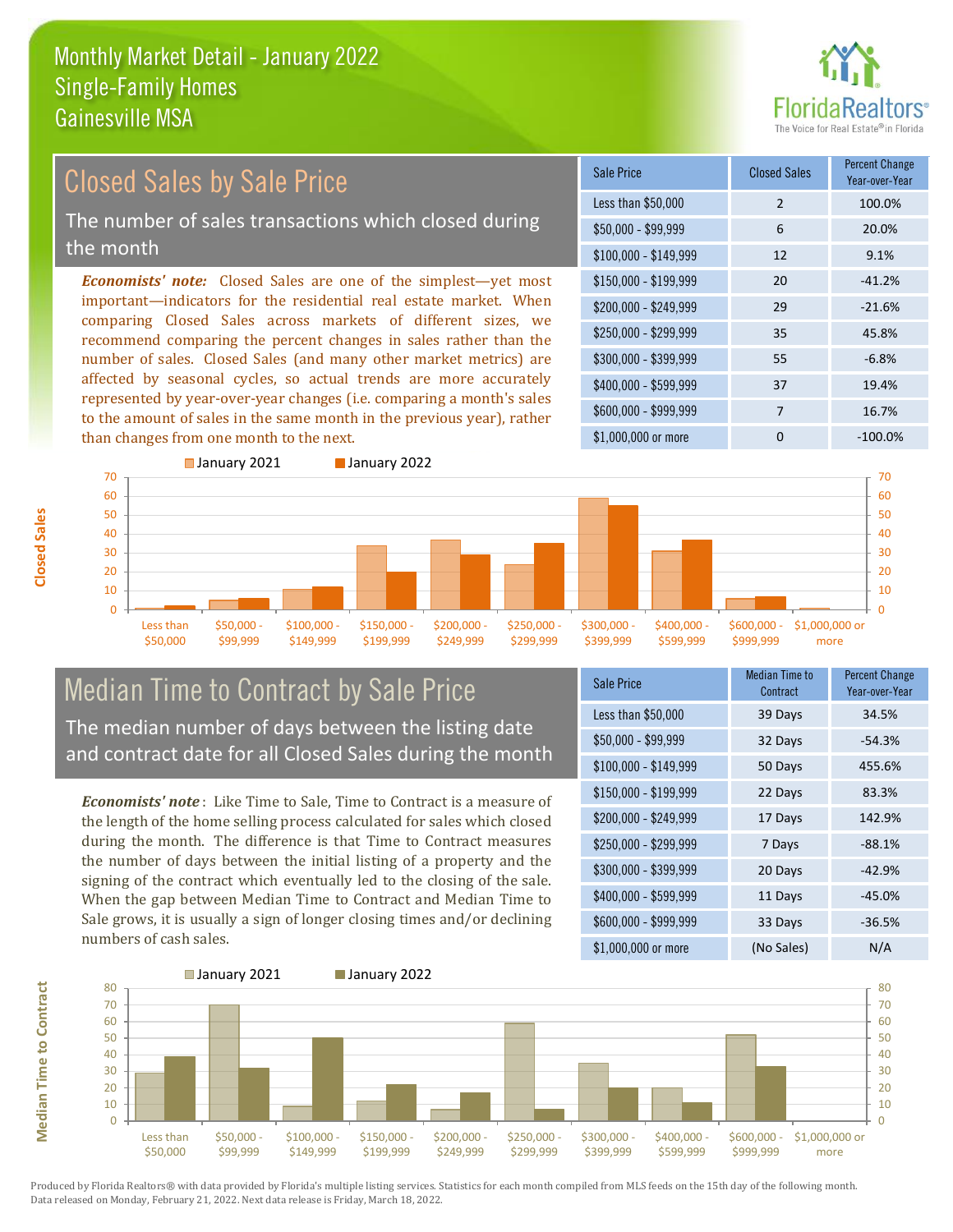

### Closed Sales by Sale Price

The number of sales transactions which closed during the month

*Economists' note:* Closed Sales are one of the simplest—yet most important—indicators for the residential real estate market. When comparing Closed Sales across markets of different sizes, we recommend comparing the percent changes in sales rather than the number of sales. Closed Sales (and many other market metrics) are affected by seasonal cycles, so actual trends are more accurately represented by year-over-year changes (i.e. comparing a month's sales to the amount of sales in the same month in the previous year), rather than changes from one month to the next.





# Median Time to Contract by Sale Price The median number of days between the listing date

and contract date for all Closed Sales during the month

*Economists' note* : Like Time to Sale, Time to Contract is a measure of the length of the home selling process calculated for sales which closed during the month. The difference is that Time to Contract measures the number of days between the initial listing of a property and the signing of the contract which eventually led to the closing of the sale. When the gap between Median Time to Contract and Median Time to Sale grows, it is usually a sign of longer closing times and/or declining numbers of cash sales.

| Sale Price            | <b>Median Time to</b><br>Contract | <b>Percent Change</b><br>Year-over-Year |
|-----------------------|-----------------------------------|-----------------------------------------|
| Less than \$50,000    | 39 Days                           | 34.5%                                   |
| \$50,000 - \$99,999   | 32 Days                           | $-54.3%$                                |
| $$100,000 - $149,999$ | 50 Days                           | 455.6%                                  |
| $$150,000 - $199,999$ | 22 Days                           | 83.3%                                   |
| \$200,000 - \$249,999 | 17 Days                           | 142.9%                                  |
| \$250,000 - \$299,999 | 7 Days                            | $-88.1%$                                |
| \$300,000 - \$399,999 | 20 Days                           | $-42.9%$                                |
| \$400,000 - \$599,999 | 11 Days                           | $-45.0%$                                |
| \$600,000 - \$999,999 | 33 Days                           | $-36.5%$                                |
| \$1,000,000 or more   | (No Sales)                        | N/A                                     |



Produced by Florida Realtors® with data provided by Florida's multiple listing services. Statistics for each month compiled from MLS feeds on the 15th day of the following month. Data released on Monday, February 21, 2022. Next data release is Friday, March 18, 2022.

**Median Time to Contract**

**Median Time to Contract**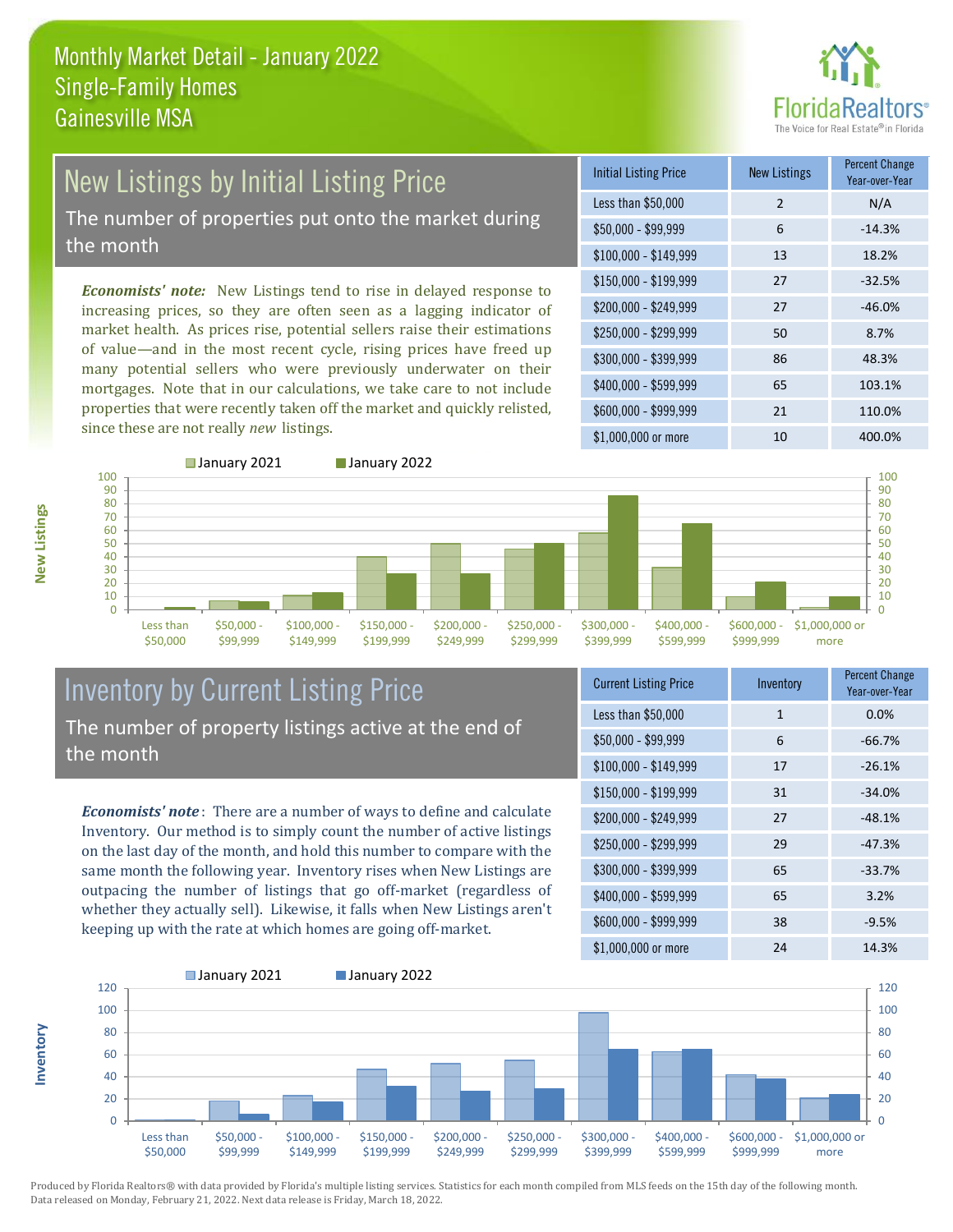

# New Listings by Initial Listing Price

The number of properties put onto the market during the month

*Economists' note:* New Listings tend to rise in delayed response to increasing prices, so they are often seen as a lagging indicator of market health. As prices rise, potential sellers raise their estimations of value—and in the most recent cycle, rising prices have freed up many potential sellers who were previously underwater on their mortgages. Note that in our calculations, we take care to not include properties that were recently taken off the market and quickly relisted, since these are not really *new* listings.

| <b>Initial Listing Price</b> | <b>New Listings</b> | <b>Percent Change</b><br>Year-over-Year |
|------------------------------|---------------------|-----------------------------------------|
| Less than \$50,000           | $\overline{2}$      | N/A                                     |
| \$50,000 - \$99,999          | 6                   | $-14.3%$                                |
| $$100,000 - $149,999$        | 13                  | 18.2%                                   |
| $$150,000 - $199,999$        | 27                  | $-32.5%$                                |
| \$200,000 - \$249,999        | 27                  | $-46.0%$                                |
| \$250,000 - \$299,999        | 50                  | 8.7%                                    |
| \$300,000 - \$399,999        | 86                  | 48.3%                                   |
| \$400,000 - \$599,999        | 65                  | 103.1%                                  |
| \$600,000 - \$999,999        | 21                  | 110.0%                                  |
| \$1,000,000 or more          | 10                  | 400.0%                                  |



#### Inventory by Current Listing Price The number of property listings active at the end of the month

*Economists' note* : There are a number of ways to define and calculate Inventory. Our method is to simply count the number of active listings on the last day of the month, and hold this number to compare with the same month the following year. Inventory rises when New Listings are outpacing the number of listings that go off-market (regardless of whether they actually sell). Likewise, it falls when New Listings aren't keeping up with the rate at which homes are going off-market.

| <b>Current Listing Price</b> | Inventory    | <b>Percent Change</b><br>Year-over-Year |
|------------------------------|--------------|-----------------------------------------|
| Less than \$50,000           | $\mathbf{1}$ | 0.0%                                    |
| $$50,000 - $99,999$          | 6            | $-66.7%$                                |
| $$100,000 - $149,999$        | 17           | $-26.1%$                                |
| $$150,000 - $199,999$        | 31           | $-34.0%$                                |
| \$200,000 - \$249,999        | 27           | $-48.1%$                                |
| \$250,000 - \$299,999        | 29           | $-47.3%$                                |
| \$300,000 - \$399,999        | 65           | $-33.7%$                                |
| \$400,000 - \$599,999        | 65           | 3.2%                                    |
| \$600,000 - \$999,999        | 38           | $-9.5%$                                 |
| \$1,000,000 or more          | 24           | 14.3%                                   |



Produced by Florida Realtors® with data provided by Florida's multiple listing services. Statistics for each month compiled from MLS feeds on the 15th day of the following month. Data released on Monday, February 21, 2022. Next data release is Friday, March 18, 2022.

**Inventory**